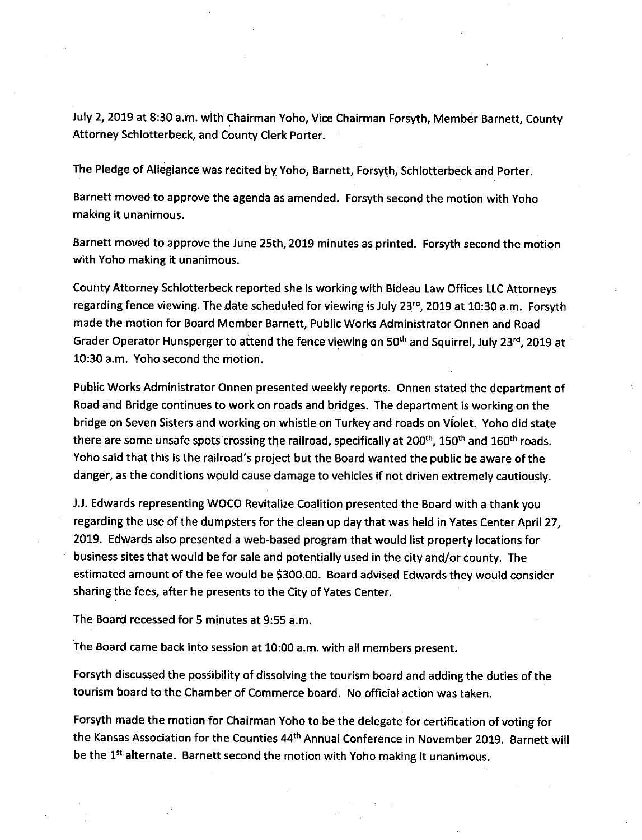July 2, 2019 at 8:30 a.m. with Chairman Yoho, Vice Chairman Forsyth, Member Barnett, County Attorney Schlotterbeck, and County Clerk Porter.

The Pledge of Allegiance was recited by Yoho, Barnett, Forsyth, Schlotterbeck and Porter.

Barnett moved to approve the agenda as amended. Forsyth second the motion with Yoho making it unanimous.

Barnett moved to approve the June 25th, 2019 minutes as printed. Forsyth second the motion with Yoho making it unanimous.

County Attorney Schlotterbeck reported she is working with Bideau Law Offices LLC Attorneys regarding fence viewing. The date scheduled for viewing is July 23<sup>rd</sup>, 2019 at 10:30 a.m. Forsyth made the motion for Board Member Barnett, Public Works Administrator Onnen and Road Grader Operator Hunsperger to attend the fence viewing on 50<sup>th</sup> and Squirrel, July 23<sup>rd</sup>, 2019 at 10:30 a.m. Yoho second the motion.

Public Works Administrator Onnen presented weekly reports. Onnen stated the department of Road and Bridge continues to work on roads and bridges. The department is working on the bridge on Seven Sisters and working on whistle on Turkey and roads on Violet. Yoho did state there are some unsafe spots crossing the railroad, specifically at 200<sup>th</sup>, 150<sup>th</sup> and 160<sup>th</sup> roads. Yoho said that this is the railroad's project but the Board wanted the public be aware of the danger, as the conditions would cause damage to vehicles if not driven extremely cautiously.

J.J. Edwards representing WOCO Revitalize Coalition presented the Board with a thank you regarding the use of the dumpsters for the clean up day that was held in Yates Center April 27, 2019. Edwards also presented a web-based program that would list property locations for business sites that would be for sale and potentially used in the city and/or county. The estimated amount of the fee would be \$300.00. Board advised Edwards they would consider sharing the fees, after he presents to the City of Yates Center.

The Board recessed for 5 minutes at 9:55 a.m.

The Board came back into session at 10:00 a.m. with all members present.

Forsyth discussed the possibility of dissolving the tourism board and adding the duties of the tourism board to the Chamber of Commerce board. No official action was taken.

Forsyth made the motion for Chairman Yoho to be the delegate for certification of voting for the Kansas Association for the Counties 44<sup>th</sup> Annual Conference in November 2019. Barnett will be the 1<sup>st</sup> alternate. Barnett second the motion with Yoho making it unanimous.